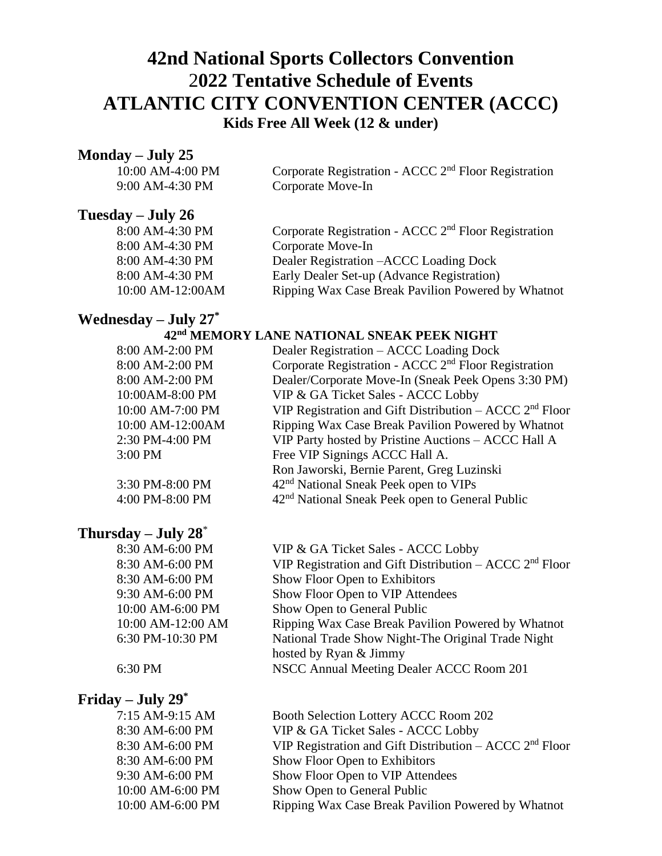## **42nd National Sports Collectors Convention** 2**022 Tentative Schedule of Events ATLANTIC CITY CONVENTION CENTER (ACCC) Kids Free All Week (12 & under)**

### **Monday – July 25**

| 10:00 AM-4:00 PM | Corporate Registration - ACCC 2 <sup>nd</sup> Floor Registration |
|------------------|------------------------------------------------------------------|
| 9:00 AM-4:30 PM  | Corporate Move-In                                                |

### **Tuesday – July 26**

| 8:00 AM-4:30 PM  | Corporate Registration - ACCC 2 <sup>nd</sup> Floor Registration |
|------------------|------------------------------------------------------------------|
| 8:00 AM-4:30 PM  | Corporate Move-In                                                |
| 8:00 AM-4:30 PM  | Dealer Registration – ACCC Loading Dock                          |
| 8:00 AM-4:30 PM  | Early Dealer Set-up (Advance Registration)                       |
| 10:00 AM-12:00AM | Ripping Wax Case Break Pavilion Powered by Whatnot               |

## **Wednesday – July 27 \***

### $42<sup>nd</sup>$  **MEMORY LANE NATIONAL SNEAK PEEK NIGHT**

| 8:00 AM-2:00 PM  | Dealer Registration – ACCC Loading Dock                          |
|------------------|------------------------------------------------------------------|
| 8:00 AM-2:00 PM  | Corporate Registration - ACCC 2 <sup>nd</sup> Floor Registration |
| 8:00 AM-2:00 PM  | Dealer/Corporate Move-In (Sneak Peek Opens 3:30 PM)              |
| 10:00AM-8:00 PM  | VIP & GA Ticket Sales - ACCC Lobby                               |
| 10:00 AM-7:00 PM | VIP Registration and Gift Distribution – ACCC $2nd$ Floor        |
| 10:00 AM-12:00AM | Ripping Wax Case Break Pavilion Powered by Whatnot               |
| 2:30 PM-4:00 PM  | VIP Party hosted by Pristine Auctions - ACCC Hall A              |
| 3:00 PM          | Free VIP Signings ACCC Hall A.                                   |
|                  | Ron Jaworski, Bernie Parent, Greg Luzinski                       |
| 3:30 PM-8:00 PM  | 42 <sup>nd</sup> National Sneak Peek open to VIPs                |
| 4:00 PM-8:00 PM  | 42 <sup>nd</sup> National Sneak Peek open to General Public      |
|                  |                                                                  |

### **Thursday – July 28** \*

8:30 AM-6:00 PM VIP & GA Ticket Sales - ACCC Lobby 8:30 AM-6:00 PM VIP Registration and Gift Distribution – ACCC 2<sup>nd</sup> Floor 8:30 AM-6:00 PM Show Floor Open to Exhibitors 9:30 AM-6:00 PM Show Floor Open to VIP Attendees 10:00 AM-6:00 PM Show Open to General Public 10:00 AM-12:00 AM Ripping Wax Case Break Pavilion Powered by Whatnot 6:30 PM-10:30 PM National Trade Show Night-The Original Trade Night hosted by Ryan & Jimmy 6:30 PM NSCC Annual Meeting Dealer ACCC Room 201

### **Friday – July 29\***

| 7:15 AM-9:15 AM  | Booth Selection Lottery ACCC Room 202                     |
|------------------|-----------------------------------------------------------|
| 8:30 AM-6:00 PM  | VIP & GA Ticket Sales - ACCC Lobby                        |
| 8:30 AM-6:00 PM  | VIP Registration and Gift Distribution – ACCC $2nd$ Floor |
| 8:30 AM-6:00 PM  | Show Floor Open to Exhibitors                             |
| 9:30 AM-6:00 PM  | Show Floor Open to VIP Attendees                          |
| 10:00 AM-6:00 PM | Show Open to General Public                               |
| 10:00 AM-6:00 PM | Ripping Wax Case Break Pavilion Powered by Whatnot        |
|                  |                                                           |